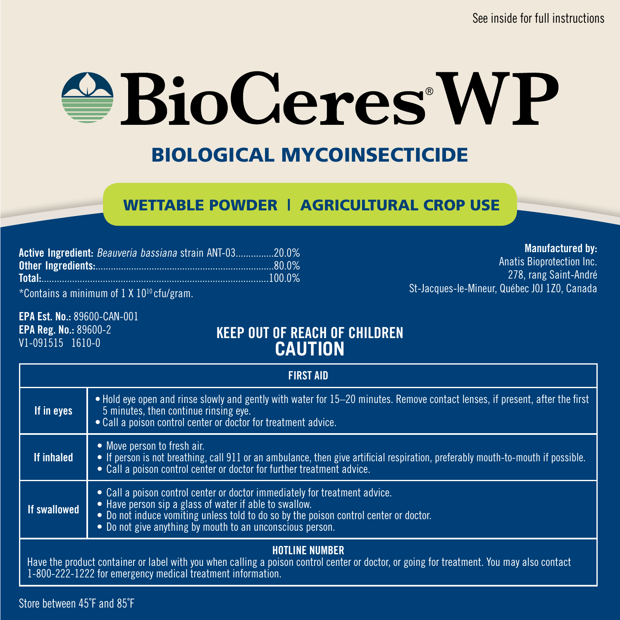# $\bigcirc$ BioCeres WP

# BIOLOGICAL MYCOINSECTICIDE

# WETTABLE POWDER | AGRICULTURAL CROP USE

| Active Ingredient: Beauveria bassiana strain ANT-0320.0%     |  |
|--------------------------------------------------------------|--|
|                                                              |  |
|                                                              |  |
| $*0$ and also a substance of $1 \vee 100$ after large $\sim$ |  |

\*Contains a minimum of 1 X 1010 cfu/gram.

#### Manufactured by:

Anatis Bioprotection Inc. 278, rang Saint-André St-Jacques-le-Mineur, Québec J0J 1Z0, Canada

EPA Est. No.: 89600-CAN-001 EPA Reg. No.: 89600-2 V1-091515 1610-0

# KEEP OUT OF REACH OF CHILDREN **CAUTION**

| <b>FIRST AID</b>                                                                                                                                                                                                                  |                                                                                                                                                                                                                                                                                            |
|-----------------------------------------------------------------------------------------------------------------------------------------------------------------------------------------------------------------------------------|--------------------------------------------------------------------------------------------------------------------------------------------------------------------------------------------------------------------------------------------------------------------------------------------|
| If in eyes                                                                                                                                                                                                                        | • Hold eve open and rinse slowly and gently with water for 15–20 minutes. Remove contact lenses, if present, after the first<br>5 minutes, then continue rinsing eve.<br>• Call a poison control center or doctor for treatment advice.                                                    |
| If inhaled                                                                                                                                                                                                                        | • Move person to fresh air.<br>• If person is not breathing, call 911 or an ambulance, then give artificial respiration, preferably mouth-to-mouth if possible.<br>• Call a poison control center or doctor for further treatment advice.                                                  |
| If swallowed                                                                                                                                                                                                                      | • Call a poison control center or doctor immediately for treatment advice.<br>• Have person sip a glass of water if able to swallow.<br>• Do not induce vomiting unless told to do so by the poison control center or doctor.<br>• Do not give anything by mouth to an unconscious person. |
| <b>HOTLINE NUMBER</b><br>Have the product container or label with you when calling a poison control center or doctor, or going for treatment. You may also contact<br>1-800-222-1222 for emergency medical treatment information. |                                                                                                                                                                                                                                                                                            |

Store between 45˚F and 85˚F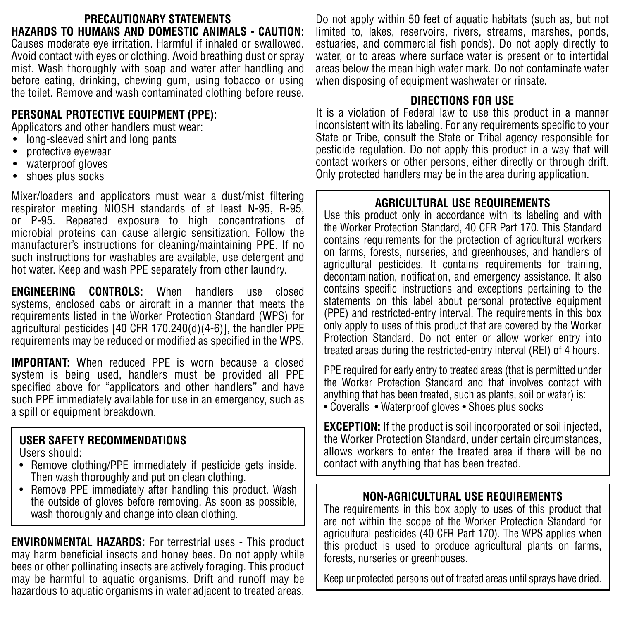#### **PRECAUTIONARY STATEMENTS HAZARDS TO HUMANS AND DOMESTIC ANIMALS - CAUTION:**  Causes moderate eye irritation. Harmful if inhaled or swallowed. Avoid contact with eyes or clothing. Avoid breathing dust or spray

mist. Wash thoroughly with soap and water after handling and before eating, drinking, chewing gum, using tobacco or using the toilet. Remove and wash contaminated clothing before reuse.

# **PERSONAL PROTECTIVE EQUIPMENT (PPE):**

Applicators and other handlers must wear:

- long-sleeved shirt and long pants
- protective eyewear
- waterproof gloves
- shoes plus socks

Mixer/loaders and applicators must wear a dust/mist filtering respirator meeting NIOSH standards of at least N-95, R-95, or P-95. Repeated exposure to high concentrations of microbial proteins can cause allergic sensitization. Follow the manufacturer's instructions for cleaning/maintaining PPE. If no such instructions for washables are available, use detergent and hot water. Keep and wash PPE separately from other laundry.

**ENGINEERING CONTROLS:** When handlers use closed systems, enclosed cabs or aircraft in a manner that meets the requirements listed in the Worker Protection Standard (WPS) for agricultural pesticides [40 CFR 170.240(d)(4-6)], the handler PPE requirements may be reduced or modified as specified in the WPS.

**IMPORTANT:** When reduced PPE is worn because a closed system is being used, handlers must be provided all PPE specified above for "applicators and other handlers" and have such PPE immediately available for use in an emergency, such as a spill or equipment breakdown.

# **USER SAFETY RECOMMENDATIONS**

Users should:

- Remove clothing/PPE immediately if pesticide gets inside. Then wash thoroughly and put on clean clothing.
- Remove PPE immediately after handling this product. Wash the outside of gloves before removing. As soon as possible, wash thoroughly and change into clean clothing.

**ENVIRONMENTAL HAZARDS:** For terrestrial uses - This product may harm beneficial insects and honey bees. Do not apply while bees or other pollinating insects are actively foraging. This product may be harmful to aquatic organisms. Drift and runoff may be hazardous to aquatic organisms in water adjacent to treated areas.

Do not apply within 50 feet of aquatic habitats (such as, but not limited to, lakes, reservoirs, rivers, streams, marshes, ponds, estuaries, and commercial fish ponds). Do not apply directly to water, or to areas where surface water is present or to intertidal areas below the mean high water mark. Do not contaminate water when disposing of equipment washwater or rinsate.

# **DIRECTIONS FOR USE**

It is a violation of Federal law to use this product in a manner inconsistent with its labeling. For any requirements specific to your State or Tribe, consult the State or Tribal agency responsible for pesticide regulation. Do not apply this product in a way that will contact workers or other persons, either directly or through drift. Only protected handlers may be in the area during application.

# **AGRICULTURAL USE REQUIREMENTS**

Use this product only in accordance with its labeling and with the Worker Protection Standard, 40 CFR Part 170. This Standard contains requirements for the protection of agricultural workers on farms, forests, nurseries, and greenhouses, and handlers of agricultural pesticides. It contains requirements for training, decontamination, notification, and emergency assistance. It also contains specific instructions and exceptions pertaining to the statements on this label about personal protective equipment (PPE) and restricted-entry interval. The requirements in this box only apply to uses of this product that are covered by the Worker Protection Standard. Do not enter or allow worker entry into treated areas during the restricted-entry interval (REI) of 4 hours.

PPE required for early entry to treated areas (that is permitted under the Worker Protection Standard and that involves contact with anything that has been treated, such as plants, soil or water) is:

• Coveralls • Waterproof gloves • Shoes plus socks

**EXCEPTION:** If the product is soil incorporated or soil injected. the Worker Protection Standard, under certain circumstances, allows workers to enter the treated area if there will be no contact with anything that has been treated.

# **NON-AGRICULTURAL USE REQUIREMENTS**

The requirements in this box apply to uses of this product that are not within the scope of the Worker Protection Standard for agricultural pesticides (40 CFR Part 170). The WPS applies when this product is used to produce agricultural plants on farms, forests, nurseries or greenhouses.

Keep unprotected persons out of treated areas until sprays have dried.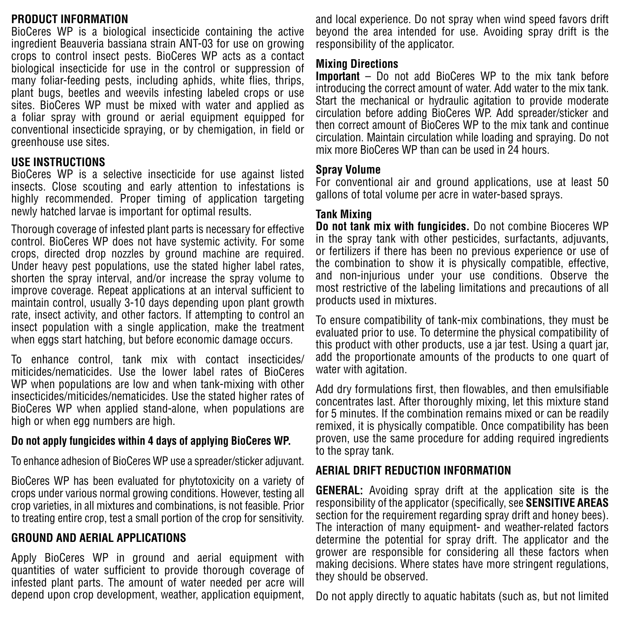#### **PRODUCT INFORMATION**

BioCeres WP is a biological insecticide containing the active ingredient Beauveria bassiana strain ANT-03 for use on growing crops to control insect pests. BioCeres WP acts as a contact biological insecticide for use in the control or suppression of many foliar-feeding pests, including aphids, white flies, thrips, plant bugs, beetles and weevils infesting labeled crops or use sites. BioCeres WP must be mixed with water and applied as a foliar spray with ground or aerial equipment equipped for conventional insecticide spraying, or by chemigation, in field or greenhouse use sites.

#### **USE INSTRUCTIONS**

BioCeres WP is a selective insecticide for use against listed insects. Close scouting and early attention to infestations is highly recommended. Proper timing of application targeting newly hatched larvae is important for optimal results.

Thorough coverage of infested plant parts is necessary for effective control. BioCeres WP does not have systemic activity. For some crops, directed drop nozzles by ground machine are required. Under heavy pest populations, use the stated higher label rates, shorten the spray interval, and/or increase the spray volume to improve coverage. Repeat applications at an interval sufficient to maintain control, usually 3-10 days depending upon plant growth rate, insect activity, and other factors. If attempting to control an insect population with a single application, make the treatment when eggs start hatching, but before economic damage occurs.

To enhance control, tank mix with contact insecticides/ miticides/nematicides. Use the lower label rates of BioCeres WP when populations are low and when tank-mixing with other insecticides/miticides/nematicides. Use the stated higher rates of BioCeres WP when applied stand-alone, when populations are high or when egg numbers are high.

#### **Do not apply fungicides within 4 days of applying BioCeres WP.**

To enhance adhesion of BioCeres WP use a spreader/sticker adjuvant.

BioCeres WP has been evaluated for phytotoxicity on a variety of crops under various normal growing conditions. However, testing all crop varieties, in all mixtures and combinations, is not feasible. Prior to treating entire crop, test a small portion of the crop for sensitivity.

#### **GROUND AND AERIAL APPLICATIONS**

Apply BioCeres WP in ground and aerial equipment with quantities of water sufficient to provide thorough coverage of infested plant parts. The amount of water needed per acre will depend upon crop development, weather, application equipment, and local experience. Do not spray when wind speed favors drift beyond the area intended for use. Avoiding spray drift is the responsibility of the applicator.

#### **Mixing Directions**

**Important** – Do not add BioCeres WP to the mix tank before introducing the correct amount of water. Add water to the mix tank. Start the mechanical or hydraulic agitation to provide moderate circulation before adding BioCeres WP. Add spreader/sticker and then correct amount of BioCeres WP to the mix tank and continue circulation. Maintain circulation while loading and spraying. Do not mix more BioCeres WP than can be used in 24 hours.

#### **Spray Volume**

For conventional air and ground applications, use at least 50 gallons of total volume per acre in water-based sprays.

#### **Tank Mixing**

**Do not tank mix with fungicides.** Do not combine Bioceres WP in the spray tank with other pesticides, surfactants, adjuvants, or fertilizers if there has been no previous experience or use of the combination to show it is physically compatible, effective, and non-injurious under your use conditions. Observe the most restrictive of the labeling limitations and precautions of all products used in mixtures.

To ensure compatibility of tank-mix combinations, they must be evaluated prior to use. To determine the physical compatibility of this product with other products, use a jar test. Using a quart jar, add the proportionate amounts of the products to one quart of water with agitation.

Add dry formulations first, then flowables, and then emulsifiable concentrates last. After thoroughly mixing, let this mixture stand for 5 minutes. If the combination remains mixed or can be readily remixed, it is physically compatible. Once compatibility has been proven, use the same procedure for adding required ingredients to the spray tank.

#### **AERIAL DRIFT REDUCTION INFORMATION**

**GENERAL:** Avoiding spray drift at the application site is the responsibility of the applicator (specifically, see **SENSITIVE AREAS** section for the requirement regarding spray drift and honey bees). The interaction of many equipment- and weather-related factors determine the potential for spray drift. The applicator and the grower are responsible for considering all these factors when making decisions. Where states have more stringent regulations, they should be observed.

Do not apply directly to aquatic habitats (such as, but not limited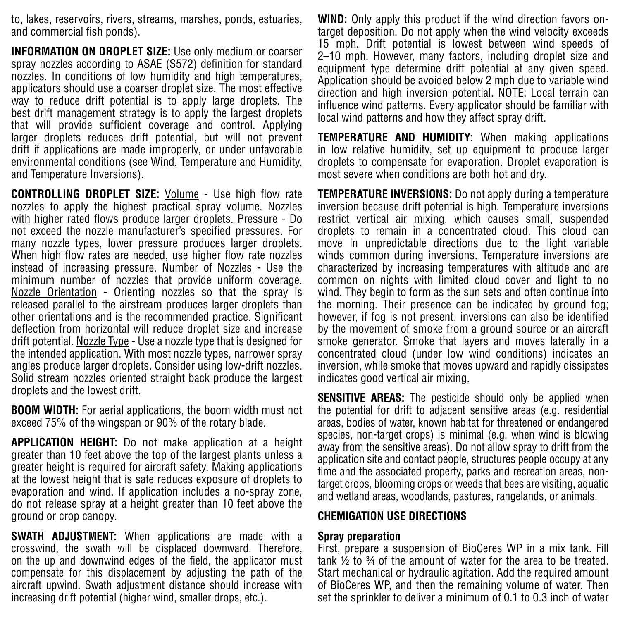to, lakes, reservoirs, rivers, streams, marshes, ponds, estuaries, and commercial fish ponds).

**INFORMATION ON DROPLET SIZE:** Use only medium or coarser spray nozzles according to ASAE (S572) definition for standard nozzles. In conditions of low humidity and high temperatures, applicators should use a coarser droplet size. The most effective way to reduce drift potential is to apply large droplets. The best drift management strategy is to apply the largest droplets that will provide sufficient coverage and control. Applying larger droplets reduces drift potential, but will not prevent drift if applications are made improperly, or under unfavorable environmental conditions (see Wind, Temperature and Humidity, and Temperature Inversions).

**CONTROLLING DROPLET SIZE:** Volume - Use high flow rate nozzles to apply the highest practical spray volume. Nozzles with higher rated flows produce larger droplets. Pressure - Do not exceed the nozzle manufacturer's specified pressures. For many nozzle types, lower pressure produces larger droplets. When high flow rates are needed, use higher flow rate nozzles instead of increasing pressure. Number of Nozzles - Use the minimum number of nozzles that provide uniform coverage. Nozzle Orientation - Orienting nozzles so that the spray is released parallel to the airstream produces larger droplets than other orientations and is the recommended practice. Significant deflection from horizontal will reduce droplet size and increase drift potential. Nozzle Type - Use a nozzle type that is designed for the intended application. With most nozzle types, narrower spray angles produce larger droplets. Consider using low-drift nozzles. Solid stream nozzles oriented straight back produce the largest droplets and the lowest drift.

**BOOM WIDTH:** For aerial applications, the boom width must not exceed 75% of the wingspan or 90% of the rotary blade.

**APPLICATION HEIGHT:** Do not make application at a height greater than 10 feet above the top of the largest plants unless a greater height is required for aircraft safety. Making applications at the lowest height that is safe reduces exposure of droplets to evaporation and wind. If application includes a no-spray zone, do not release spray at a height greater than 10 feet above the ground or crop canopy.

**SWATH ADJUSTMENT:** When applications are made with a crosswind, the swath will be displaced downward. Therefore, on the up and downwind edges of the field, the applicator must compensate for this displacement by adjusting the path of the aircraft upwind. Swath adjustment distance should increase with increasing drift potential (higher wind, smaller drops, etc.).

**WIND:** Only apply this product if the wind direction favors ontarget deposition. Do not apply when the wind velocity exceeds 15 mph. Drift potential is lowest between wind speeds of 2–10 mph. However, many factors, including droplet size and equipment type determine drift potential at any given speed. Application should be avoided below 2 mph due to variable wind direction and high inversion potential. NOTE: Local terrain can influence wind patterns. Every applicator should be familiar with local wind patterns and how they affect spray drift.

**TEMPERATURE AND HUMIDITY:** When making applications in low relative humidity, set up equipment to produce larger droplets to compensate for evaporation. Droplet evaporation is most severe when conditions are both hot and dry.

**TEMPERATURE INVERSIONS:** Do not apply during a temperature inversion because drift potential is high. Temperature inversions restrict vertical air mixing, which causes small, suspended droplets to remain in a concentrated cloud. This cloud can move in unpredictable directions due to the light variable winds common during inversions. Temperature inversions are characterized by increasing temperatures with altitude and are common on nights with limited cloud cover and light to no wind. They begin to form as the sun sets and often continue into the morning. Their presence can be indicated by ground fog; however, if fog is not present, inversions can also be identified by the movement of smoke from a ground source or an aircraft smoke generator. Smoke that layers and moves laterally in a concentrated cloud (under low wind conditions) indicates an inversion, while smoke that moves upward and rapidly dissipates indicates good vertical air mixing.

**SENSITIVE AREAS:** The pesticide should only be applied when the potential for drift to adjacent sensitive areas (e.g. residential areas, bodies of water, known habitat for threatened or endangered species, non-target crops) is minimal (e.g. when wind is blowing away from the sensitive areas). Do not allow spray to drift from the application site and contact people, structures people occupy at any time and the associated property, parks and recreation areas, nontarget crops, blooming crops or weeds that bees are visiting, aquatic and wetland areas, woodlands, pastures, rangelands, or animals.

#### **CHEMIGATION USE DIRECTIONS**

#### **Spray preparation**

First, prepare a suspension of BioCeres WP in a mix tank. Fill tank ½ to ¾ of the amount of water for the area to be treated. Start mechanical or hydraulic agitation. Add the required amount of BioCeres WP, and then the remaining volume of water. Then set the sprinkler to deliver a minimum of 0.1 to 0.3 inch of water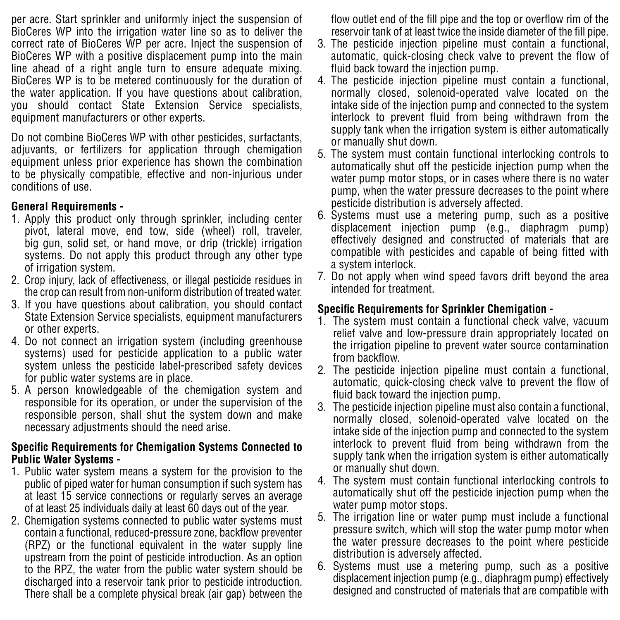per acre. Start sprinkler and uniformly inject the suspension of BioCeres WP into the irrigation water line so as to deliver the correct rate of BioCeres WP per acre. Inject the suspension of BioCeres WP with a positive displacement pump into the main line ahead of a right angle turn to ensure adequate mixing. BioCeres WP is to be metered continuously for the duration of the water application. If you have questions about calibration, you should contact State Extension Service specialists, equipment manufacturers or other experts.

Do not combine BioCeres WP with other pesticides, surfactants, adiuvants, or fertilizers for application through chemigation equipment unless prior experience has shown the combination to be physically compatible, effective and non-injurious under conditions of use.

#### **General Requirements -**

- 1. Apply this product only through sprinkler, including center pivot, lateral move, end tow, side (wheel) roll, traveler, big gun, solid set, or hand move, or drip (trickle) irrigation systems. Do not apply this product through any other type of irrigation system.
- 2. Crop injury, lack of effectiveness, or illegal pesticide residues in the crop can result from non-uniform distribution of treated water.
- 3. If you have questions about calibration, you should contact State Extension Service specialists, equipment manufacturers or other experts.
- 4. Do not connect an irrigation system (including greenhouse systems) used for pesticide application to a public water system unless the pesticide label-prescribed safety devices for public water systems are in place.
- 5. A person knowledgeable of the chemigation system and responsible for its operation, or under the supervision of the responsible person, shall shut the system down and make necessary adjustments should the need arise.

#### **Specific Requirements for Chemigation Systems Connected to Public Water Systems -**

- 1. Public water system means a system for the provision to the public of piped water for human consumption if such system has at least 15 service connections or regularly serves an average of at least 25 individuals daily at least 60 days out of the year.
- 2. Chemigation systems connected to public water systems must contain a functional, reduced-pressure zone, backflow preventer (RPZ) or the functional equivalent in the water supply line upstream from the point of pesticide introduction. As an option to the RPZ, the water from the public water system should be discharged into a reservoir tank prior to pesticide introduction. There shall be a complete physical break (air gap) between the

flow outlet end of the fill pipe and the top or overflow rim of the reservoir tank of at least twice the inside diameter of the fill pipe.

- 3. The pesticide injection pipeline must contain a functional, automatic, quick-closing check valve to prevent the flow of fluid back toward the injection pump.
- 4. The pesticide injection pipeline must contain a functional, normally closed, solenoid-operated valve located on the intake side of the injection pump and connected to the system interlock to prevent fluid from being withdrawn from the supply tank when the irrigation system is either automatically or manually shut down.
- 5. The system must contain functional interlocking controls to automatically shut off the pesticide injection pump when the water pump motor stops, or in cases where there is no water pump, when the water pressure decreases to the point where pesticide distribution is adversely affected.
- 6. Systems must use a metering pump, such as a positive displacement injection pump (e.g., diaphragm pump) effectively designed and constructed of materials that are compatible with pesticides and capable of being fitted with a system interlock.
- 7. Do not apply when wind speed favors drift beyond the area intended for treatment.

# **Specific Requirements for Sprinkler Chemigation -**

- 1. The system must contain a functional check valve, vacuum relief valve and low-pressure drain appropriately located on the irrigation pipeline to prevent water source contamination from backflow.
- 2. The pesticide injection pipeline must contain a functional, automatic, quick-closing check valve to prevent the flow of fluid back toward the injection pump.
- 3. The pesticide injection pipeline must also contain a functional, normally closed, solenoid-operated valve located on the intake side of the injection pump and connected to the system interlock to prevent fluid from being withdrawn from the supply tank when the irrigation system is either automatically or manually shut down.
- 4. The system must contain functional interlocking controls to automatically shut off the pesticide injection pump when the water pump motor stops.
- 5. The irrigation line or water pump must include a functional pressure switch, which will stop the water pump motor when the water pressure decreases to the point where pesticide distribution is adversely affected.
- 6. Systems must use a metering pump, such as a positive displacement injection pump (e.g., diaphragm pump) effectively designed and constructed of materials that are compatible with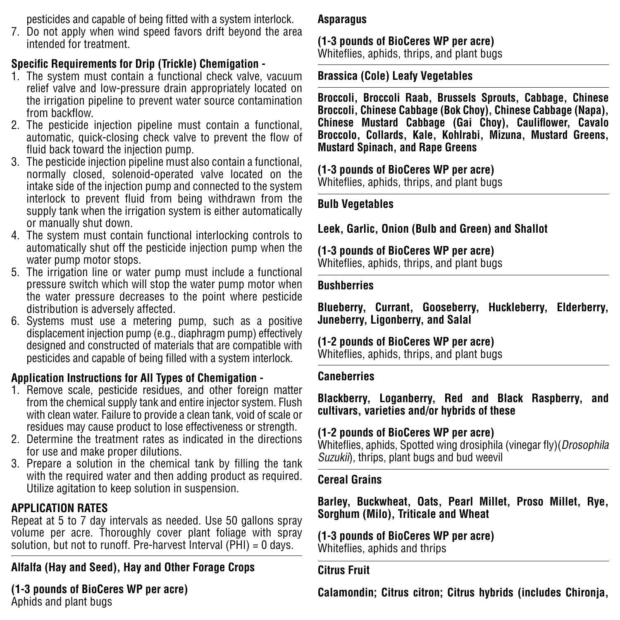pesticides and capable of being fitted with a system interlock.

7. Do not apply when wind speed favors drift beyond the area intended for treatment.

# **Specific Requirements for Drip (Trickle) Chemigation -**

- 1. The system must contain a functional check valve, vacuum relief valve and low-pressure drain appropriately located on the irrigation pipeline to prevent water source contamination from backflow.
- 2. The pesticide injection pipeline must contain a functional, automatic, quick-closing check valve to prevent the flow of fluid back toward the injection pump.
- 3. The pesticide injection pipeline must also contain a functional, normally closed, solenoid-operated valve located on the intake side of the injection pump and connected to the system interlock to prevent fluid from being withdrawn from the supply tank when the irrigation system is either automatically or manually shut down.
- 4. The system must contain functional interlocking controls to automatically shut off the pesticide injection pump when the water pump motor stops.
- 5. The irrigation line or water pump must include a functional pressure switch which will stop the water pump motor when the water pressure decreases to the point where pesticide distribution is adversely affected.
- 6. Systems must use a metering pump, such as a positive displacement injection pump (e.g., diaphragm pump) effectively designed and constructed of materials that are compatible with pesticides and capable of being filled with a system interlock.

# **Application Instructions for All Types of Chemigation -**

- 1. Remove scale, pesticide residues, and other foreign matter from the chemical supply tank and entire injector system. Flush with clean water. Failure to provide a clean tank, void of scale or residues may cause product to lose effectiveness or strength.
- 2. Determine the treatment rates as indicated in the directions for use and make proper dilutions.
- 3. Prepare a solution in the chemical tank by filling the tank with the required water and then adding product as required. Utilize agitation to keep solution in suspension.

# **APPLICATION RATES**

Repeat at 5 to 7 day intervals as needed. Use 50 gallons spray volume per acre. Thoroughly cover plant foliage with spray solution, but not to runoff. Pre-harvest Interval (PHI) = 0 days.

# **Alfalfa (Hay and Seed), Hay and Other Forage Crops**

# **(1-3 pounds of BioCeres WP per acre)**

Aphids and plant bugs

#### **Asparagus**

#### **(1-3 pounds of BioCeres WP per acre)** Whiteflies, aphids, thrips, and plant bugs

## **Brassica (Cole) Leafy Vegetables**

**Broccoli, Broccoli Raab, Brussels Sprouts, Cabbage, Chinese Broccoli, Chinese Cabbage (Bok Choy), Chinese Cabbage (Napa), Chinese Mustard Cabbage (Gai Choy), Cauliflower, Cavalo Broccolo, Collards, Kale, Kohlrabi, Mizuna, Mustard Greens, Mustard Spinach, and Rape Greens** 

# **(1-3 pounds of BioCeres WP per acre)**

Whiteflies, aphids, thrips, and plant bugs

# **Bulb Vegetables**

# **Leek, Garlic, Onion (Bulb and Green) and Shallot**

# **(1-3 pounds of BioCeres WP per acre)**

Whiteflies, aphids, thrips, and plant bugs

#### **Bushberries**

**Blueberry, Currant, Gooseberry, Huckleberry, Elderberry, Juneberry, Ligonberry, and Salal**

# **(1-2 pounds of BioCeres WP per acre)**

Whiteflies, aphids, thrips, and plant bugs

#### **Caneberries**

**Blackberry, Loganberry, Red and Black Raspberry, and cultivars, varieties and/or hybrids of these**

# **(1-2 pounds of BioCeres WP per acre)**

Whiteflies, aphids, Spotted wing drosiphila (vinegar fly)(Drosophila Suzukii), thrips, plant bugs and bud weevil

#### **Cereal Grains**

**Barley, Buckwheat, Oats, Pearl Millet, Proso Millet, Rye, Sorghum (Milo), Triticale and Wheat**

#### **(1-3 pounds of BioCeres WP per acre)** Whiteflies, aphids and thrips

#### **Citrus Fruit**

**Calamondin; Citrus citron; Citrus hybrids (includes Chironja,**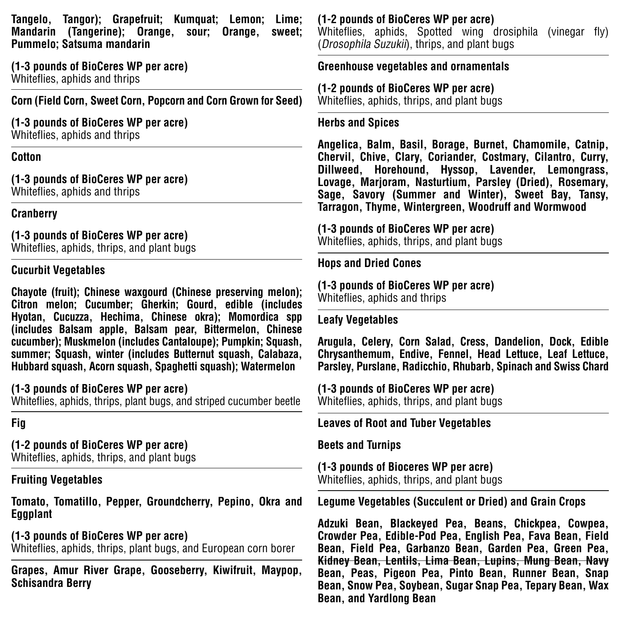**Tangelo, Tangor); Grapefruit; Kumquat; Lemon; Lime; Mandarin (Tangerine); Orange, sour; Orange, sweet; Pummelo; Satsuma mandarin**

**(1-3 pounds of BioCeres WP per acre)** Whiteflies, aphids and thrips

**Corn (Field Corn, Sweet Corn, Popcorn and Corn Grown for Seed)**

# **(1-3 pounds of BioCeres WP per acre)**

Whiteflies, aphids and thrips

#### **Cotton**

**(1-3 pounds of BioCeres WP per acre)** Whiteflies, aphids and thrips

#### **Cranberry**

**(1-3 pounds of BioCeres WP per acre)** Whiteflies, aphids, thrips, and plant bugs

#### **Cucurbit Vegetables**

**Chayote (fruit); Chinese waxgourd (Chinese preserving melon); Citron melon; Cucumber; Gherkin; Gourd, edible (includes Hyotan, Cucuzza, Hechima, Chinese okra); Momordica spp (includes Balsam apple, Balsam pear, Bittermelon, Chinese cucumber); Muskmelon (includes Cantaloupe); Pumpkin; Squash, summer; Squash, winter (includes Butternut squash, Calabaza, Hubbard squash, Acorn squash, Spaghetti squash); Watermelon**

#### **(1-3 pounds of BioCeres WP per acre)**

Whiteflies, aphids, thrips, plant bugs, and striped cucumber beetle

#### **Fig**

# **(1-2 pounds of BioCeres WP per acre)**

Whiteflies, aphids, thrips, and plant bugs

## **Fruiting Vegetables**

**Tomato, Tomatillo, Pepper, Groundcherry, Pepino, Okra and Eggplant**

**(1-3 pounds of BioCeres WP per acre)** Whiteflies, aphids, thrips, plant bugs, and European corn borer

**Grapes, Amur River Grape, Gooseberry, Kiwifruit, Maypop, Schisandra Berry**

**(1-2 pounds of BioCeres WP per acre)** Whiteflies, aphids, Spotted wing drosiphila (vinegar fly) (Drosophila Suzukii), thrips, and plant bugs

# **Greenhouse vegetables and ornamentals**

**(1-2 pounds of BioCeres WP per acre)** Whiteflies, aphids, thrips, and plant bugs

#### **Herbs and Spices**

**Angelica, Balm, Basil, Borage, Burnet, Chamomile, Catnip, Chervil, Chive, Clary, Coriander, Costmary, Cilantro, Curry, Dillweed, Horehound, Hyssop, Lavender, Lemongrass, Lovage, Marjoram, Nasturtium, Parsley (Dried), Rosemary, Sage, Savory (Summer and Winter), Sweet Bay, Tansy, Tarragon, Thyme, Wintergreen, Woodruff and Wormwood**

# **(1-3 pounds of BioCeres WP per acre)**

Whiteflies, aphids, thrips, and plant bugs

# **Hops and Dried Cones**

**(1-3 pounds of BioCeres WP per acre)** Whiteflies, aphids and thrips

# **Leafy Vegetables**

**Arugula, Celery, Corn Salad, Cress, Dandelion, Dock, Edible Chrysanthemum, Endive, Fennel, Head Lettuce, Leaf Lettuce, Parsley, Purslane, Radicchio, Rhubarb, Spinach and Swiss Chard**

**(1-3 pounds of BioCeres WP per acre)** Whiteflies, aphids, thrips, and plant bugs

# **Leaves of Root and Tuber Vegetables**

**Beets and Turnips**

**(1-3 pounds of Bioceres WP per acre)** Whiteflies, aphids, thrips, and plant bugs

**Legume Vegetables (Succulent or Dried) and Grain Crops**

**Adzuki Bean, Blackeyed Pea, Beans, Chickpea, Cowpea, Crowder Pea, Edible-Pod Pea, English Pea, Fava Bean, Field Bean, Field Pea, Garbanzo Bean, Garden Pea, Green Pea, Kidney Bean, Lentils, Lima Bean, Lupins, Mung Bean, Navy Bean, Peas, Pigeon Pea, Pinto Bean, Runner Bean, Snap Bean, Snow Pea, Soybean, Sugar Snap Pea, Tepary Bean, Wax Bean, and Yardlong Bean**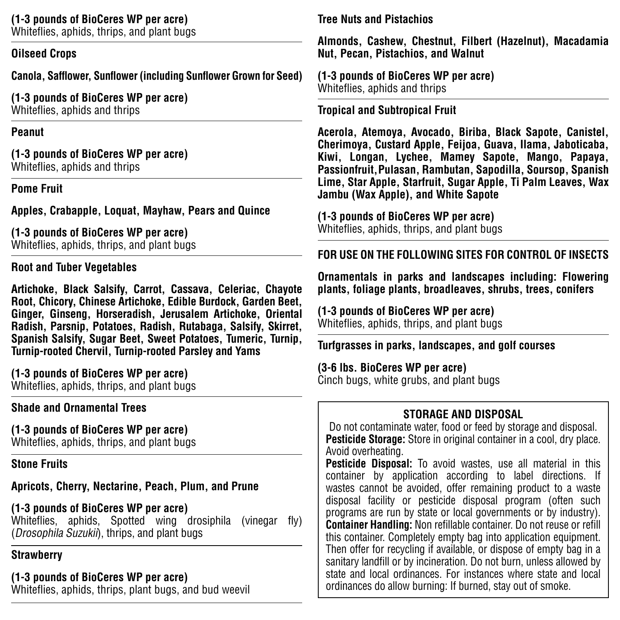### **(1-3 pounds of BioCeres WP per acre)**

Whiteflies, aphids, thrips, and plant bugs

#### **Oilseed Crops**

**Canola, Safflower, Sunflower (including Sunflower Grown for Seed)**

**(1-3 pounds of BioCeres WP per acre)** Whiteflies, aphids and thrips

#### **Peanut**

**(1-3 pounds of BioCeres WP per acre)** Whiteflies, aphids and thrips

#### **Pome Fruit**

**Apples, Crabapple, Loquat, Mayhaw, Pears and Quince**

**(1-3 pounds of BioCeres WP per acre)** Whiteflies, aphids, thrips, and plant bugs

#### **Root and Tuber Vegetables**

**Artichoke, Black Salsify, Carrot, Cassava, Celeriac, Chayote Root, Chicory, Chinese Artichoke, Edible Burdock, Garden Beet, Ginger, Ginseng, Horseradish, Jerusalem Artichoke, Oriental Radish, Parsnip, Potatoes, Radish, Rutabaga, Salsify, Skirret, Spanish Salsify, Sugar Beet, Sweet Potatoes, Tumeric, Turnip, Turnip-rooted Chervil, Turnip-rooted Parsley and Yams**

**(1-3 pounds of BioCeres WP per acre)**

Whiteflies, aphids, thrips, and plant bugs

#### **Shade and Ornamental Trees**

**(1-3 pounds of BioCeres WP per acre)** Whiteflies, aphids, thrips, and plant bugs

**Stone Fruits**

**Apricots, Cherry, Nectarine, Peach, Plum, and Prune**

# **(1-3 pounds of BioCeres WP per acre)**

Whiteflies, aphids, Spotted wing drosiphila (vinegar fly) (Drosophila Suzukii), thrips, and plant bugs

## **Strawberry**

# **(1-3 pounds of BioCeres WP per acre)**

Whiteflies, aphids, thrips, plant bugs, and bud weevil

**Tree Nuts and Pistachios**

**Almonds, Cashew, Chestnut, Filbert (Hazelnut), Macadamia Nut, Pecan, Pistachios, and Walnut**

**(1-3 pounds of BioCeres WP per acre)** Whiteflies, aphids and thrips

#### **Tropical and Subtropical Fruit**

**Acerola, Atemoya, Avocado, Biriba, Black Sapote, Canistel, Cherimoya, Custard Apple, Feijoa, Guava, Ilama, Jaboticaba, Kiwi, Longan, Lychee, Mamey Sapote, Mango, Papaya, Passionfruit, Pulasan, Rambutan, Sapodilla, Soursop, Spanish Lime, Star Apple, Starfruit, Sugar Apple, Ti Palm Leaves, Wax Jambu (Wax Apple), and White Sapote**

**(1-3 pounds of BioCeres WP per acre)** Whiteflies, aphids, thrips, and plant bugs

**FOR USE ON THE FOLLOWING SITES FOR CONTROL OF INSECTS**

**Ornamentals in parks and landscapes including: Flowering plants, foliage plants, broadleaves, shrubs, trees, conifers**

**(1-3 pounds of BioCeres WP per acre)**  Whiteflies, aphids, thrips, and plant bugs

**Turfgrasses in parks, landscapes, and golf courses**

**(3-6 lbs. BioCeres WP per acre)**  Cinch bugs, white grubs, and plant bugs

#### **STORAGE AND DISPOSAL**

Do not contaminate water, food or feed by storage and disposal. **Pesticide Storage:** Store in original container in a cool, dry place. Avoid overheating.

**Pesticide Disposal:** To avoid wastes, use all material in this container by application according to label directions. If wastes cannot be avoided, offer remaining product to a waste disposal facility or pesticide disposal program (often such programs are run by state or local governments or by industry). **Container Handling:** Non refillable container. Do not reuse or refill this container. Completely empty bag into application equipment. Then offer for recycling if available, or dispose of empty bag in a sanitary landfill or by incineration. Do not burn, unless allowed by state and local ordinances. For instances where state and local ordinances do allow burning: If burned, stay out of smoke.